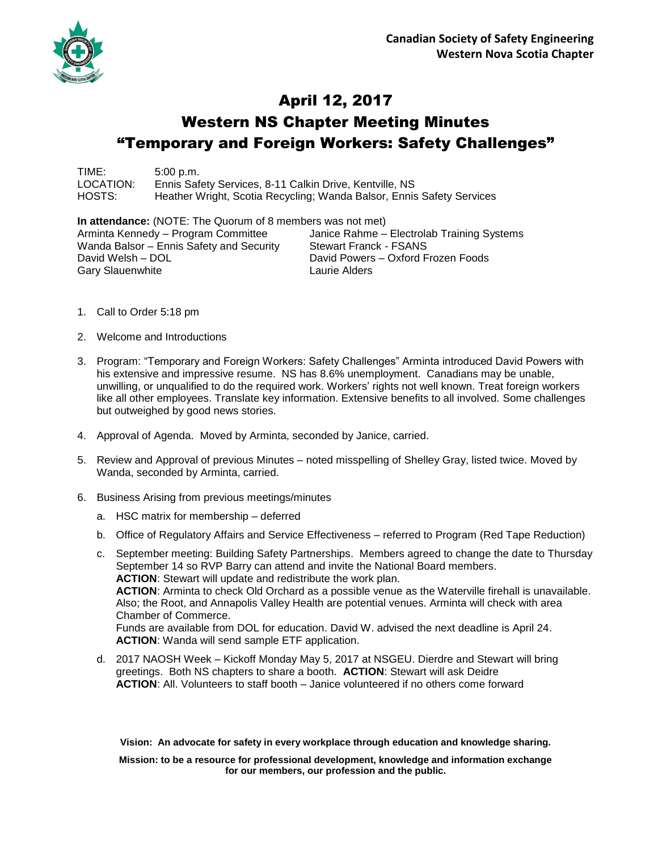

## April 12, 2017 Western NS Chapter Meeting Minutes "Temporary and Foreign Workers: Safety Challenges"

TIME: 5:00 p.m. LOCATION: Ennis Safety Services, 8-11 Calkin Drive, Kentville, NS HOSTS: Heather Wright, Scotia Recycling; Wanda Balsor, Ennis Safety Services

**In attendance:** (NOTE: The Quorum of 8 members was not met) Arminta Kennedy – Program Committee Janice Rahme – Electrolab Training Systems Wanda Balsor – Ennis Safety and Security Stewart Franck - FSANS David Welsh – DOL David Powers – Oxford Frozen Foods Gary Slauenwhite **Laurie Alders** 

- 1. Call to Order 5:18 pm
- 2. Welcome and Introductions
- 3. Program: "Temporary and Foreign Workers: Safety Challenges" Arminta introduced David Powers with his extensive and impressive resume. NS has 8.6% unemployment. Canadians may be unable, unwilling, or unqualified to do the required work. Workers' rights not well known. Treat foreign workers like all other employees. Translate key information. Extensive benefits to all involved. Some challenges but outweighed by good news stories.
- 4. Approval of Agenda. Moved by Arminta, seconded by Janice, carried.
- 5. Review and Approval of previous Minutes noted misspelling of Shelley Gray, listed twice. Moved by Wanda, seconded by Arminta, carried.
- 6. Business Arising from previous meetings/minutes
	- a. HSC matrix for membership deferred
	- b. Office of Regulatory Affairs and Service Effectiveness referred to Program (Red Tape Reduction)

c. September meeting: Building Safety Partnerships. Members agreed to change the date to Thursday September 14 so RVP Barry can attend and invite the National Board members. **ACTION**: Stewart will update and redistribute the work plan. **ACTION**: Arminta to check Old Orchard as a possible venue as the Waterville firehall is unavailable. Also; the Root, and Annapolis Valley Health are potential venues. Arminta will check with area Chamber of Commerce. Funds are available from DOL for education. David W. advised the next deadline is April 24. **ACTION**: Wanda will send sample ETF application.

d. 2017 NAOSH Week – Kickoff Monday May 5, 2017 at NSGEU. Dierdre and Stewart will bring greetings. Both NS chapters to share a booth. **ACTION**: Stewart will ask Deidre **ACTION**: All. Volunteers to staff booth – Janice volunteered if no others come forward

**Vision: An advocate for safety in every workplace through education and knowledge sharing.**

**Mission: to be a resource for professional development, knowledge and information exchange for our members, our profession and the public.**